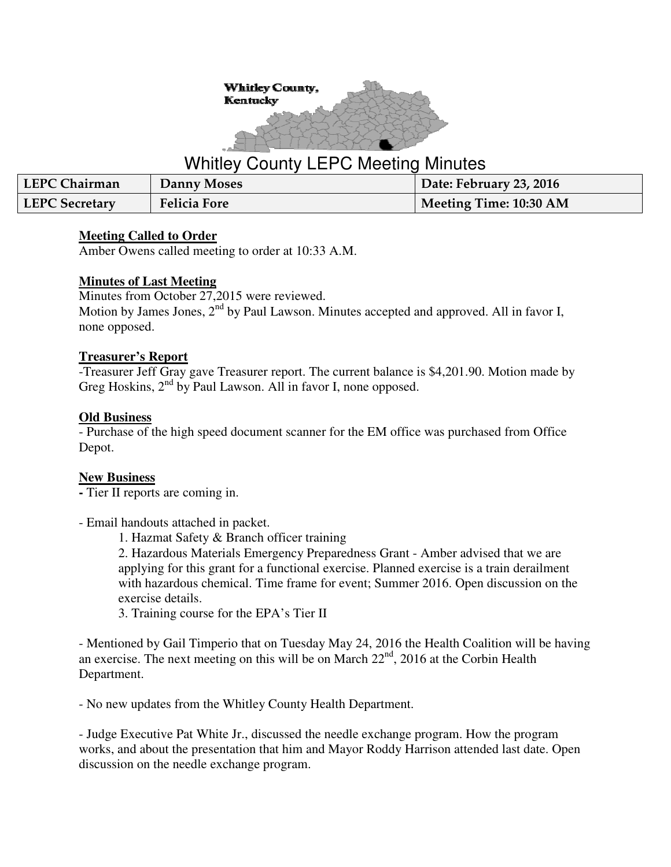

# Whitley County LEPC Meeting Minutes

| LEPC Chairman         | Danny Moses         | Date: February 23, 2016 |
|-----------------------|---------------------|-------------------------|
| <b>LEPC Secretary</b> | <b>Felicia Fore</b> | Meeting Time: 10:30 AM  |

#### **Meeting Called to Order**

Amber Owens called meeting to order at 10:33 A.M.

## **Minutes of Last Meeting**

Minutes from October 27,2015 were reviewed. Motion by James Jones, 2<sup>nd</sup> by Paul Lawson. Minutes accepted and approved. All in favor I, none opposed.

#### **Treasurer's Report**

-Treasurer Jeff Gray gave Treasurer report. The current balance is \$4,201.90. Motion made by Greg Hoskins, 2<sup>nd</sup> by Paul Lawson. All in favor I, none opposed.

## **Old Business**

- Purchase of the high speed document scanner for the EM office was purchased from Office Depot.

# **New Business**

**-** Tier II reports are coming in.

- Email handouts attached in packet.

1. Hazmat Safety & Branch officer training

2. Hazardous Materials Emergency Preparedness Grant - Amber advised that we are applying for this grant for a functional exercise. Planned exercise is a train derailment with hazardous chemical. Time frame for event; Summer 2016. Open discussion on the exercise details.

3. Training course for the EPA's Tier II

- Mentioned by Gail Timperio that on Tuesday May 24, 2016 the Health Coalition will be having an exercise. The next meeting on this will be on March 22<sup>nd</sup>, 2016 at the Corbin Health Department.

- No new updates from the Whitley County Health Department.

- Judge Executive Pat White Jr., discussed the needle exchange program. How the program works, and about the presentation that him and Mayor Roddy Harrison attended last date. Open discussion on the needle exchange program.